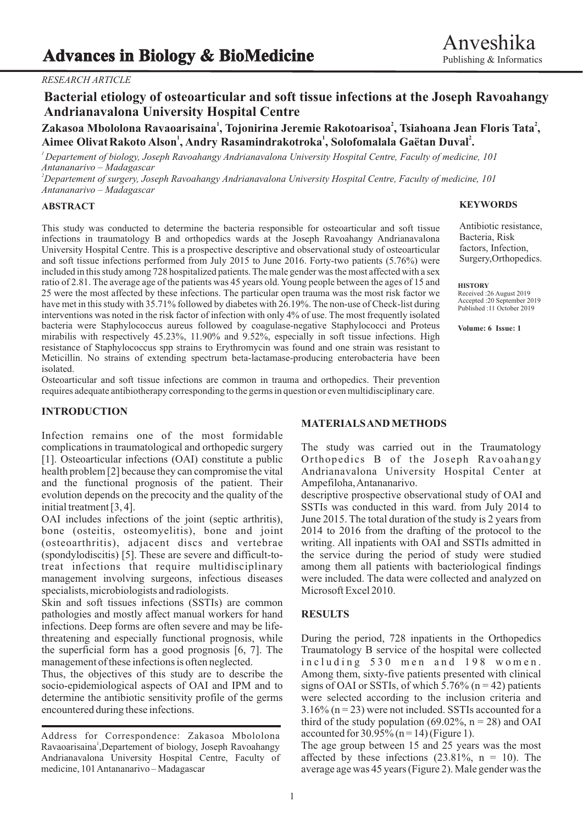## *RESEARCH ARTICLE*

# **Bacterial etiology of osteoarticular and soft tissue infections at the Joseph Ravoahangy Andrianavalona University Hospital Centre**

# **<sup>1</sup> <sup>2</sup> <sup>2</sup> Zakasoa Mbololona Ravaoarisaina , Tojonirina Jeremie Rakotoarisoa , Tsiahoana Jean Floris Tata , <sup>1</sup> <sup>1</sup> <sup>2</sup> Aimee OlivatRakoto Alson , Andry Rasamindrakotroka , Solofomalala Gaëtan Duval .**

*<sup>1</sup>Departement of biology, Joseph Ravoahangy Andrianavalona University Hospital Centre, Faculty of medicine, 101 Antananarivo – Madagascar*

*<sup>2</sup>Departement of surgery, Joseph Ravoahangy Andrianavalona University Hospital Centre, Faculty of medicine, 101 Antananarivo – Madagascar*

### **ABSTRACT**

This study was conducted to determine the bacteria responsible for osteoarticular and soft tissue infections in traumatology B and orthopedics wards at the Joseph Ravoahangy Andrianavalona University Hospital Centre. This is a prospective descriptive and observational study of osteoarticular and soft tissue infections performed from July 2015 to June 2016. Forty-two patients (5.76%) were included in this study among 728 hospitalized patients. The male gender was the most affected with a sex ratio of 2.81. The average age of the patients was 45 years old. Young people between the ages of 15 and 25 were the most affected by these infections. The particular open trauma was the most risk factor we have met in this study with 35.71% followed by diabetes with 26.19%. The non-use of Check-list during interventions was noted in the risk factor of infection with only 4% of use. The most frequently isolated bacteria were Staphylococcus aureus followed by coagulase-negative Staphylococci and Proteus mirabilis with respectively 45.23%, 11.90% and 9.52%, especially in soft tissue infections. High resistance of Staphylococcus spp strains to Erythromycin was found and one strain was resistant to Meticillin. No strains of extending spectrum beta-lactamase-producing enterobacteria have been isolated.

Osteoarticular and soft tissue infections are common in trauma and orthopedics. Their prevention requires adequate antibiotherapy corresponding to the germs in question or even multidisciplinary care.

## **INTRODUCTION**

Infection remains one of the most formidable complications in traumatological and orthopedic surgery The study was carried out in the Traumatology [1]. Osteoarticular infections (OAI) constitute a public Orthopedics B of the Joseph Ravoahangy health problem [2] because they can compromise the vital Andrianavalona University Hospital Center at health problem [2] because they can compromise the vital and the functional prognosis of the patient. Their Ampefiloha, Antananarivo. evolution depends on the precocity and the quality of the descriptive prospective observational study of OAI and

OAI includes infections of the joint (septic arthritis), June 2015. The total duration of the study is 2 years from bone (osteitis, osteomyelitis), bone and joint 2014 to 2016 from the drafting of the protocol to the (osteoarthritis), adjacent discs and vertebrae writing. All inpatients with OAI and SSTIs admitted in (spondylodiscitis) [5]. These are severe and difficult-to- the service during the period of study were studied treat infections that require multidisciplinary among them all patients with bacteriological findings management involving surgeons, infectious diseases were included. The data were collected and analyzed on specialists, microbiologists and radiologists. Microsoft Excel 2010.

Skin and soft tissues infections (SSTIs) are common pathologies and mostly affect manual workers for hand **RESULTS** infections. Deep forms are often severe and may be lifethreatening and especially functional prognosis, while During the period, 728 inpatients in the Orthopedics the superficial form has a good prognosis [6, 7]. The Traumatology B service of the hospital were collected management of these infections is often neglected. in cluding 530 m en and 198 w om en.

socio-epidemiological aspects of OAI and IPM and to signs of OAI or SSTIs, of which 5.76% ( $n = 42$ ) patients determine the antibiotic sensitivity profile of the germs were selected according to the inclusion criteria and encountered during these infections.  $3.16\%$  (n = 23) were not included. SSTIs accounted for a

### **KEYWORDS**

Antibiotic resistance, Bacteria, Risk factors, Infection, Surgery,Orthopedics.

**HISTORY** Received :26 August 2019 Accepted :20 September 2019 Published :11 October 2019

**Volume: 6 Issue: 1**

# **MATERIALS AND METHODS**

initial treatment [3, 4]. SSTIs was conducted in this ward. from July 2014 to

Thus, the objectives of this study are to describe the Among them, sixty-five patients presented with clinical third of the study population (69.02%,  $n = 28$ ) and OAI accounted for  $30.95\%$  (n = 14) (Figure 1).

> The age group between 15 and 25 years was the most affected by these infections  $(23.81\%), n = 10$ . The average age was 45 years (Figure 2). Male gender was the

Address for Correspondence: Zakasoa Mbololona Ravaoarisaina<sup>1</sup>, Departement of biology, Joseph Ravoahangy Andrianavalona University Hospital Centre, Faculty of medicine, 101 Antananarivo – Madagascar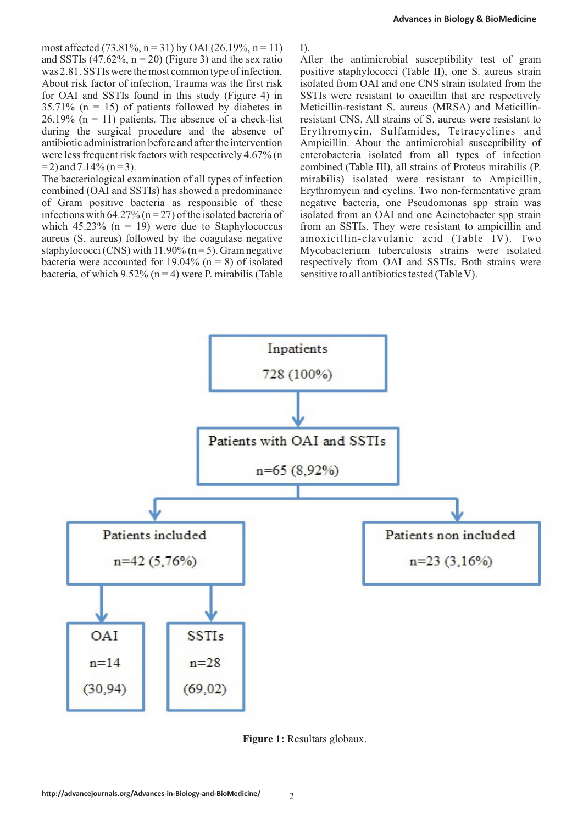**Advances in Biology & BioMedicine**

most affected  $(73.81\%, n = 31)$  by OAI  $(26.19\%, n = 11)$  I). and SSTIs (47.62%,  $n = 20$ ) (Figure 3) and the sex ratio After the antimicrobial susceptibility test of gram was 2.81. SSTIs were the most common type of infection. positive staphylococci (Table II), one S. aureus strain About risk factor of infection, Trauma was the first risk isolated from OAI and one CNS strain isolated from the for OAI and SSTIs found in this study (Figure 4) in SSTIs were resistant to oxacillin that are respectively  $35.71\%$  (n = 15) of patients followed by diabetes in Meticillin-resistant S. aureus (MRSA) and Meticillin-26.19% ( $n = 11$ ) patients. The absence of a check-list resistant CNS. All strains of S. aureus were resistant to during the surgical procedure and the absence of Erythromycin, Sulfamides, Tetracyclines and antibiotic administration before and after the intervention Ampicillin. About the antimicrobial susceptibility of were less frequent risk factors with respectively 4.67% (n enterobacteria isolated from all types of infecti  $= 2$ ) and 7.14% (n = 3). combined (Table III), all strains of Proteus mirabilis (P.

combined (OAI and SSTIs) has showed a predominance Erythromycin and cyclins. Two non-fermentative gram of Gram positive bacteria as responsible of these negative bacteria, one Pseudomonas spp strain was infections with 64.27% ( $n = 27$ ) of the isolated bacteria of isolated from an OAI and one Acinetobacter spp strain which  $45.23\%$  (n = 19) were due to Staphylococcus from an SSTIs. They were resistant to ampicillin and aureus (S. aureus) followed by the coagulase negative amoxicillin-clavulanic acid (Table IV). Two staphylococci (CNS) with 11.90% (n = 5). Gram negative Mycobacterium tuberculosis strains were isolated bacteria were accounted for 19.04% (n = 8) of isolated respectively from OAI and SSTIs. Both strains were bacteria, of which 9.52% (n = 4) were P. mirabilis (Table sensitive to all antibiotics tested (Table V).

enterobacteria isolated from all types of infection The bacteriological examination of all types of infection mirabilis) isolated were resistant to Ampicillin, respectively from OAI and SSTIs. Both strains were



**Figure 1:** Resultats globaux.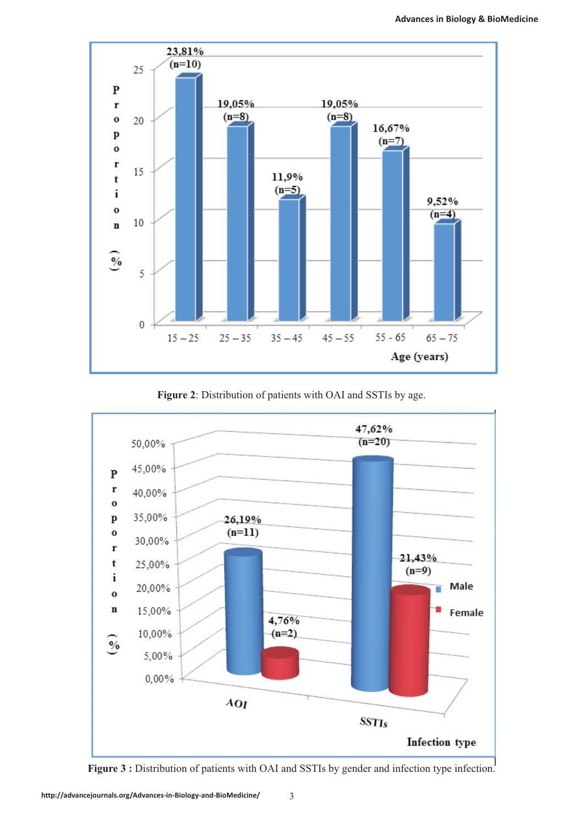

**Figure 2**: Distribution of patients with OAI and SSTIs by age.



**Figure 3 :** Distribution of patients with OAI and SSTIs by gender and infection type infection.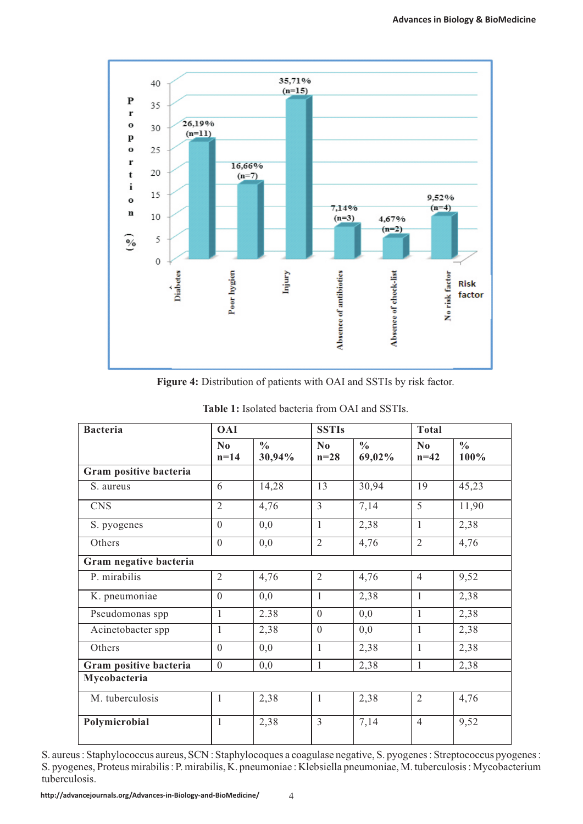

**Figure 4:** Distribution of patients with OAI and SSTIs by risk factor.

| <b>Bacteria</b>        | <b>OAI</b>                       |                         | <b>SSTIs</b>       |                         | <b>Total</b>                     |                       |
|------------------------|----------------------------------|-------------------------|--------------------|-------------------------|----------------------------------|-----------------------|
|                        | $\mathbf{N}\mathbf{0}$<br>$n=14$ | $\frac{0}{0}$<br>30,94% | $\bf No$<br>$n=28$ | $\frac{0}{0}$<br>69,02% | $\mathbf{N}\mathbf{0}$<br>$n=42$ | $\frac{6}{6}$<br>100% |
| Gram positive bacteria |                                  |                         |                    |                         |                                  |                       |
| S. aureus              | 6                                | 14,28                   | 13                 | 30,94                   | 19                               | 45,23                 |
| <b>CNS</b>             | $\overline{2}$                   | 4,76                    | $\overline{3}$     | 7,14                    | $\overline{5}$                   | 11,90                 |
| S. pyogenes            | $\overline{0}$                   | 0,0                     | $\mathbf{1}$       | 2,38                    | $\mathbf{1}$                     | 2,38                  |
| Others                 | $\overline{0}$                   | 0,0                     | $\overline{2}$     | 4,76                    | $\overline{2}$                   | 4,76                  |
| Gram negative bacteria |                                  |                         |                    |                         |                                  |                       |
| P. mirabilis           | $\overline{2}$                   | 4,76                    | $\overline{2}$     | 4,76                    | $\overline{4}$                   | 9,52                  |
| K. pneumoniae          | $\overline{0}$                   | 0,0                     | 1                  | 2,38                    | $\mathbf{1}$                     | 2,38                  |
| Pseudomonas spp        | $\mathbf{1}$                     | 2.38                    | $\overline{0}$     | 0,0                     | $\mathbf{1}$                     | 2,38                  |
| Acinetobacter spp      | $\mathbf{1}$                     | 2,38                    | $\overline{0}$     | 0,0                     | $\mathbf{1}$                     | 2,38                  |
| Others                 | $\overline{0}$                   | 0,0                     | $\mathbf{1}$       | 2,38                    | $\mathbf{1}$                     | 2,38                  |
| Gram positive bacteria | $\boldsymbol{0}$                 | 0,0                     | $\mathbf{1}$       | 2,38                    | $\mathbf{1}$                     | 2,38                  |
| Mycobacteria           |                                  |                         |                    |                         |                                  |                       |
| M. tuberculosis        | 1                                | 2,38                    | 1                  | 2,38                    | $\overline{2}$                   | 4,76                  |
| Polymicrobial          | $\mathbf{1}$                     | 2,38                    | $\overline{3}$     | 7,14                    | $\overline{4}$                   | 9,52                  |

**Table 1:** Isolated bacteria from OAI and SSTIs.

S. aureus : Staphylococcus aureus, SCN : Staphylocoques a coagulase negative, S. pyogenes : Streptococcus pyogenes : S. pyogenes, Proteus mirabilis : P. mirabilis, K. pneumoniae : Klebsiella pneumoniae, M. tuberculosis : Mycobacterium tuberculosis.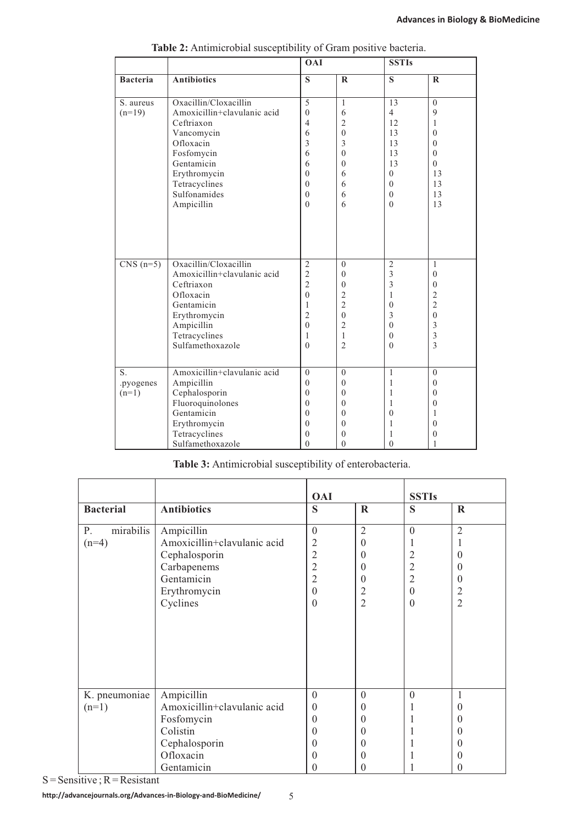|                 |                                                                    | <b>OAI</b>                                     |                                          | <b>SSTIs</b>             |                                   |
|-----------------|--------------------------------------------------------------------|------------------------------------------------|------------------------------------------|--------------------------|-----------------------------------|
| <b>Bacteria</b> | <b>Antibiotics</b>                                                 | S                                              | $\mathbf R$                              | S                        | $\mathbf R$                       |
| S. aureus       | Oxacillin/Cloxacillin                                              | 5                                              | $\mathbf{1}$                             | 13                       | $\theta$                          |
| $(n=19)$        | Amoxicillin+clavulanic acid                                        | $\theta$                                       | 6                                        | $\overline{4}$           | 9                                 |
|                 | Ceftriaxon                                                         | $\overline{4}$                                 | $\overline{c}$                           | 12                       | $\mathbf{1}$                      |
|                 | Vancomycin                                                         | 6                                              | $\theta$                                 | 13                       | $\theta$                          |
|                 | Ofloxacin                                                          | 3                                              | 3                                        | 13                       | $\theta$                          |
|                 | Fosfomycin                                                         | 6                                              | $\mathbf{0}$                             | 13                       | $\theta$                          |
|                 | Gentamicin                                                         | 6                                              | $\theta$                                 | 13                       | $\theta$                          |
|                 | Erythromycin                                                       | $\theta$                                       | 6                                        | $\Omega$                 | 13                                |
|                 | Tetracyclines                                                      | $\theta$                                       | 6                                        | $\mathbf{0}$             | 13                                |
|                 | Sulfonamides                                                       | $\theta$                                       | 6                                        | $\theta$                 | 13                                |
|                 | Ampicillin                                                         | $\theta$                                       | 6                                        | $\theta$                 | 13                                |
| $CNS(n=5)$      | Oxacillin/Cloxacillin<br>Amoxicillin+clavulanic acid<br>Ceftriaxon | $\sqrt{2}$<br>$\overline{2}$<br>$\overline{2}$ | $\mathbf{0}$<br>$\theta$<br>$\mathbf{0}$ | $\mathfrak{2}$<br>3<br>3 | 1<br>$\mathbf{0}$<br>$\mathbf{0}$ |
|                 | Ofloxacin                                                          | $\mathbf{0}$                                   | $\overline{c}$                           | $\mathbf{1}$             | $\overline{c}$                    |
|                 | Gentamicin                                                         | $\mathbf{1}$                                   | $\overline{2}$                           | $\theta$                 | $\overline{2}$                    |
|                 | Erythromycin                                                       | $\overline{2}$                                 | $\theta$                                 | 3                        | $\boldsymbol{0}$                  |
|                 | Ampicillin                                                         | $\theta$                                       | $\overline{2}$                           | $\mathbf{0}$             | 3                                 |
|                 | Tetracyclines                                                      | $\mathbf{1}$                                   | $\mathbf{1}$                             | $\mathbf{0}$             | $\overline{\mathbf{3}}$           |
|                 | Sulfamethoxazole                                                   | $\theta$                                       | $\overline{2}$                           | $\theta$                 | 3                                 |
|                 |                                                                    |                                                |                                          |                          |                                   |
| S.              | Amoxicillin+clavulanic acid                                        | $\Omega$                                       | $\mathbf{0}$                             | $\mathbf{1}$             | $\theta$                          |
| .pyogenes       | Ampicillin                                                         | $\mathbf{0}$                                   | $\theta$                                 | $\mathbf{1}$             | $\mathbf{0}$                      |
| $(n=1)$         | Cephalosporin                                                      | $\theta$                                       | $\theta$                                 | 1                        | $\mathbf{0}$                      |
|                 | Fluoroquinolones                                                   | $\theta$                                       | $\theta$                                 | 1                        | $\theta$                          |
|                 | Gentamicin                                                         | $\theta$                                       | $\theta$                                 | $\theta$                 | 1                                 |
|                 | Erythromycin                                                       | $\theta$                                       | $\theta$                                 | 1                        | $\theta$                          |
|                 | Tetracyclines                                                      | $\Omega$                                       | $\theta$                                 | 1                        | $\theta$                          |
|                 | Sulfamethoxazole                                                   | $\Omega$                                       | $\theta$                                 | $\theta$                 | 1                                 |

**Table 2:** Antimicrobial susceptibility of Gram positive bacteria.

# **Table 3:** Antimicrobial susceptibility of enterobacteria.

|                             |                             | <b>OAI</b>     |                  | <b>SSTIs</b>     |                  |
|-----------------------------|-----------------------------|----------------|------------------|------------------|------------------|
| <b>Bacterial</b>            | <b>Antibiotics</b>          | S              | $\mathbf R$      | S                | $\mathbf R$      |
| mirabilis<br>P.             | Ampicillin                  | $\mathbf{0}$   | $\overline{2}$   | $\boldsymbol{0}$ | $\overline{2}$   |
| $(n=4)$                     | Amoxicillin+clavulanic acid | 2              | $\boldsymbol{0}$ | 1                | 1                |
|                             | Cephalosporin               | $\overline{2}$ | $\theta$         | $\mathfrak{2}$   | $\theta$         |
|                             | Carbapenems                 | $\overline{2}$ | $\theta$         | $\sqrt{2}$       | $\theta$         |
|                             | Gentamicin                  | $\overline{2}$ | $\theta$         | $\overline{2}$   | $\theta$         |
|                             | Erythromycin                | $\mathbf{0}$   | $\overline{2}$   | $\boldsymbol{0}$ | $\overline{c}$   |
|                             | Cyclines                    | $\mathbf{0}$   | $\overline{2}$   | $\boldsymbol{0}$ | $\overline{2}$   |
|                             |                             |                |                  |                  |                  |
|                             |                             |                |                  |                  |                  |
|                             |                             |                |                  |                  |                  |
|                             |                             |                |                  |                  |                  |
|                             |                             |                |                  |                  |                  |
|                             |                             |                |                  |                  |                  |
| K. pneumoniae<br>Ampicillin |                             | $\overline{0}$ | $\mathbf{0}$     | $\mathbf{0}$     | $\mathbf{1}$     |
| $(n=1)$                     | Amoxicillin+clavulanic acid | $\theta$       | $\theta$         |                  | $\theta$         |
|                             | Fosfomycin                  | $\theta$       | $\theta$         |                  | $\theta$         |
|                             | Colistin                    | $\theta$       | $\theta$         |                  | $\theta$         |
|                             | Cephalosporin               | $\theta$       | $\theta$         |                  | $\boldsymbol{0}$ |
|                             | Ofloxacin                   | $\theta$       | $\theta$         |                  | $\theta$         |
|                             | Gentamicin                  | $\theta$       | 0                |                  | $\boldsymbol{0}$ |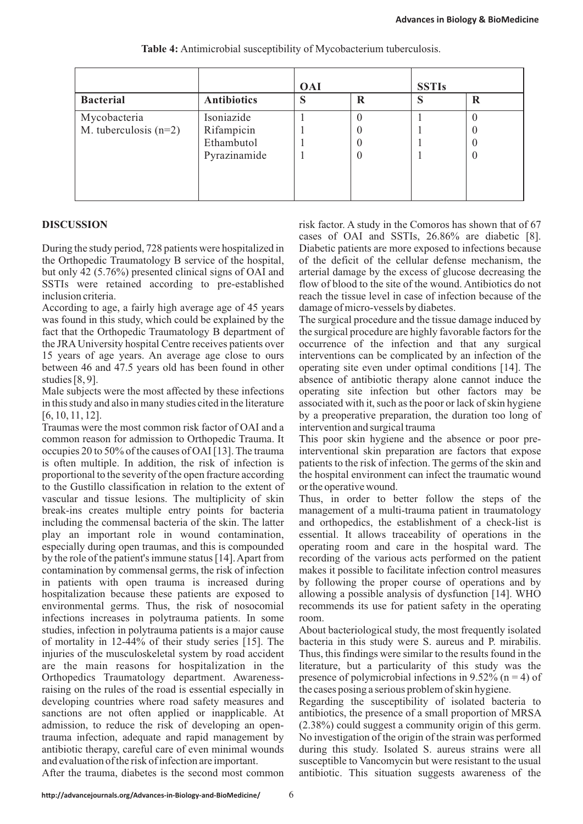|                         |                    | <b>OAI</b> |   | <b>SSTIs</b> |                  |
|-------------------------|--------------------|------------|---|--------------|------------------|
| <b>Bacterial</b>        | <b>Antibiotics</b> | S          | R | S            | R                |
| Mycobacteria            | Isoniazide         |            |   |              |                  |
| M. tuberculosis $(n=2)$ | Rifampicin         |            |   |              | $\left( \right)$ |
|                         | Ethambutol         |            |   |              | $\left( \right)$ |
|                         | Pyrazinamide       |            | O |              | 0                |
|                         |                    |            |   |              |                  |
|                         |                    |            |   |              |                  |

**Table 4:** Antimicrobial susceptibility of Mycobacterium tuberculosis.

During the study period, 728 patients were hospitalized in Diabetic patients are more exposed to infections because the Orthopedic Traumatology B service of the hospital, of the deficit of the cellular defense mechanism, the but only 42 (5.76%) presented clinical signs of OAI and arterial damage by the excess of glucose decreasing the SSTIs were retained according to pre-established flow of blood to the site of the wound. Antibiotics do not inclusion criteria. The time is the time of the tissue level in case of infection because of the

According to age, a fairly high average age of 45 years damage of micro-vessels by diabetes. was found in this study, which could be explained by the The surgical procedure and the tissue damage induced by fact that the Orthopedic Traumatology B department of the surgical procedure are highly favorable factors for the the JRAUniversity hospital Centre receives patients over occurrence of the infection and that any surgical 15 years of age years. An average age close to ours interventions can be complicated by an infection of the between 46 and 47.5 years old has been found in other operating site even under optimal conditions [14]. The studies [8, 9]. <br>absence of antibiotic therapy alone cannot induce the

Male subjects were the most affected by these infections operating site infection but other factors may be in this study and also in many studies cited in the literature associated with it, such as the poor or lack of skin hygiene [6, 10, 11, 12]. by a preoperative preparation, the duration too long of

Traumas were the most common risk factor of OAI and a intervention and surgical trauma common reason for admission to Orthopedic Trauma. It This poor skin hygiene and the absence or poor preoccupies 20 to 50% of the causes of OAI [13]. The trauma interventional skin preparation are factors that expose is often multiple. In addition, the risk of infection is patients to the risk of infection. The germs of the skin and proportional to the severity of the open fracture according the hospital environment can infect the traumatic wound to the Gustillo classification in relation to the extent of or the operative wound. vascular and tissue lesions. The multiplicity of skin Thus, in order to better follow the steps of the break-ins creates multiple entry points for bacteria management of a multi-trauma patient in traumatology including the commensal bacteria of the skin. The latter and orthopedics, the establishment of a check-list is play an important role in wound contamination, essential. It allows traceability of operations in the especially during open traumas, and this is compounded operating room and care in the hospital ward. The by the role of the patient's immune status [14]. Apart from recording of the various acts performed on the patient contamination by commensal germs, the risk of infection makes it possible to facilitate infection control measures in patients with open trauma is increased during by following the proper course of operations and by hospitalization because these patients are exposed to allowing a possible analysis of dysfunction [14]. WHO environmental germs. Thus, the risk of nosocomial recommends its use for patient safety in the operating infections increases in polytrauma patients. In some room. studies, infection in polytrauma patients is a major cause About bacteriological study, the most frequently isolated of mortality in 12-44% of their study series [15]. The bacteria in this study were S. aureus and P. mirabilis. injuries of the musculoskeletal system by road accident Thus, this findings were similar to the results found in the are the main reasons for hospitalization in the literature, but a particularity of this study was the Orthopedics Traumatology department. Awareness- presence of polymicrobial infections in 9.52% (n = 4) of raising on the rules of the road is essential especially in the cases posing a serious problem of skin hygiene. developing countries where road safety measures and Regarding the susceptibility of isolated bacteria to sanctions are not often applied or inapplicable. At antibiotics, the presence of a small proportion of MRSA admission, to reduce the risk of developing an open- (2.38%) could suggest a community origin of this germ. trauma infection, adequate and rapid management by No investigation of the origin of the strain was performed antibiotic therapy, careful care of even minimal wounds during this study. Isolated S. aureus strains were all and evaluation of the risk of infection are important. susceptible to Vancomycin but were resistant to the usual

**DISCUSSION** risk factor. A study in the Comoros has shown that of 67 cases of OAI and SSTIs, 26.86% are diabetic [8].

After the trauma, diabetes is the second most common antibiotic. This situation suggests awareness of the